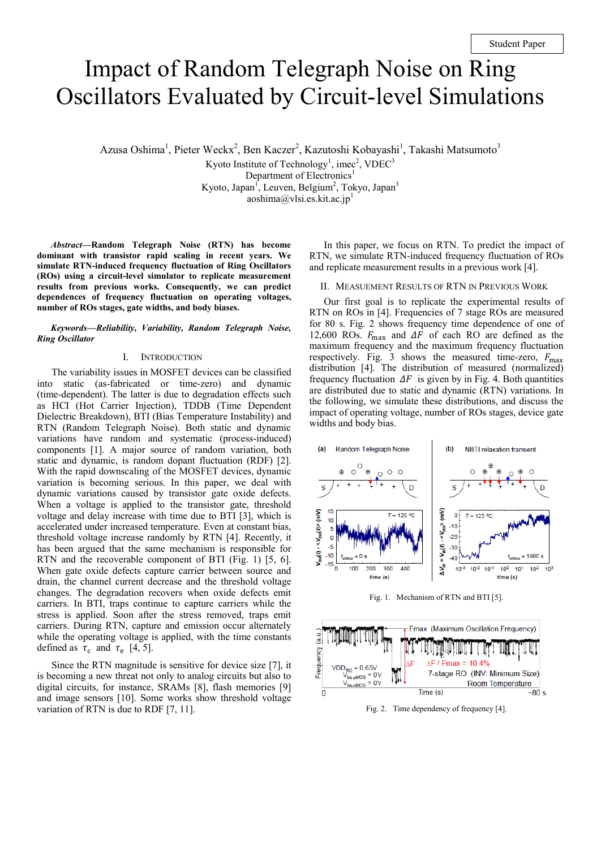# Impact of Random Telegraph Noise on Ring Oscillators Evaluated by Circuit-level Simulations

Azusa Oshima<sup>1</sup>, Pieter Weckx<sup>2</sup>, Ben Kaczer<sup>2</sup>, Kazutoshi Kobayashi<sup>1</sup>, Takashi Matsumoto<sup>3</sup>

Kyoto Institute of Technology<sup>1</sup>, imec<sup>2</sup>, VDEC<sup>3</sup>

Department of Electronics<sup>1</sup> Kyoto, Japan<sup>1</sup>, Leuven, Belgium<sup>2</sup>, Tokyo, Japan<sup>3</sup> aoshima@vlsi.es.kit.ac.jp<sup>1</sup>

*Abstract***—Random Telegraph Noise (RTN) has become dominant with transistor rapid scaling in recent years. We simulate RTN-induced frequency fluctuation of Ring Oscillators (ROs) using a circuit-level simulator to replicate measurement results from previous works. Consequently, we can predict dependences of frequency fluctuation on operating voltages, number of ROs stages, gate widths, and body biases.** 

#### *Keywords—Reliability, Variability, Random Telegraph Noise, Ring Oscillator*

#### I. INTRODUCTION

The variability issues in MOSFET devices can be classified into static (as-fabricated or time-zero) and dynamic (time-dependent). The latter is due to degradation effects such as HCI (Hot Carrier Injection), TDDB (Time Dependent Dielectric Breakdown), BTI (Bias Temperature Instability) and RTN (Random Telegraph Noise). Both static and dynamic variations have random and systematic (process-induced) components [1]. A major source of random variation, both static and dynamic, is random dopant fluctuation (RDF) [2]. With the rapid downscaling of the MOSFET devices, dynamic variation is becoming serious. In this paper, we deal with dynamic variations caused by transistor gate oxide defects. When a voltage is applied to the transistor gate, threshold voltage and delay increase with time due to BTI [3], which is accelerated under increased temperature. Even at constant bias, threshold voltage increase randomly by RTN [4]. Recently, it has been argued that the same mechanism is responsible for RTN and the recoverable component of BTI (Fig. 1) [5, 6]. When gate oxide defects capture carrier between source and drain, the channel current decrease and the threshold voltage changes. The degradation recovers when oxide defects emit carriers. In BTI, traps continue to capture carriers while the stress is applied. Soon after the stress removed, traps emit carriers. During RTN, capture and emission occur alternately while the operating voltage is applied, with the time constants defined as  $\tau_c$  and  $\tau_e$  [4, 5].

Since the RTN magnitude is sensitive for device size [7], it is becoming a new threat not only to analog circuits but also to digital circuits, for instance, SRAMs [8], flash memories [9] and image sensors [10]. Some works show threshold voltage variation of RTN is due to RDF [7, 11].

In this paper, we focus on RTN. To predict the impact of RTN, we simulate RTN-induced frequency fluctuation of ROs and replicate measurement results in a previous work [4].

II. MEASUEMENT RESULTS OF RTN IN PREVIOUS WORK

Our first goal is to replicate the experimental results of RTN on ROs in [4]. Frequencies of 7 stage ROs are measured for 80 s. Fig. 2 shows frequency time dependence of one of 12,600 ROs.  $F_{\text{max}}$  and  $\Delta F$  of each RO are defined as the maximum frequency and the maximum frequency fluctuation respectively. Fig. 3 shows the measured time-zero,  $F_{\text{max}}$ distribution [4]. The distribution of measured (normalized) frequency fluctuation  $\Delta F$  is given by in Fig. 4. Both quantities are distributed due to static and dynamic (RTN) variations. In the following, we simulate these distributions, and discuss the impact of operating voltage, number of ROs stages, device gate widths and body bias.



Fig. 1. Mechanism of RTN and BTI [5].



Fig. 2. Time dependency of frequency [4].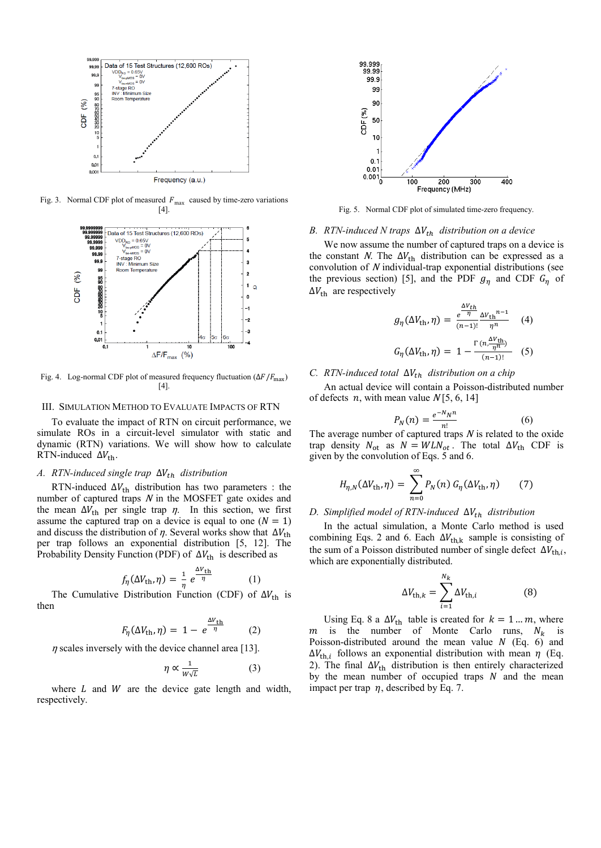

Fig. 3. Normal CDF plot of measured  $F_{\text{max}}$  caused by time-zero variations [4].



Fig. 4. Log-normal CDF plot of measured frequency fluctuation ( $\Delta F/F_{\text{max}}$ )  $[4]$ 

#### III. SIMULATION METHOD TO EVALUATE IMPACTS OF RTN

To evaluate the impact of RTN on circuit performance, we simulate ROs in a circuit-level simulator with static and dynamic (RTN) variations. We will show how to calculate RTN-induced  $\Delta V_{\text{th}}$ .

#### *A. RTN-induced single trap*  $\Delta V_{th}$  *distribution*

RTN-induced  $\Delta V_{\text{th}}$  distribution has two parameters : the number of captured traps  $N$  in the MOSFET gate oxides and the mean  $\Delta V_{\text{th}}$  per single trap  $\eta$ . In this section, we first assume the captured trap on a device is equal to one  $(N = 1)$ and discuss the distribution of  $\eta$ . Several works show that  $\Delta V_{\text{th}}$ per trap follows an exponential distribution [5, 12]. The Probability Density Function (PDF) of  $\Delta V_{\text{th}}$  is described as

$$
f_{\eta}(\Delta V_{\text{th}}, \eta) = \frac{1}{\eta} e^{\frac{\Delta V_{\text{th}}}{\eta}}
$$
 (1)

The Cumulative Distribution Function (CDF) of  $\Delta V_{\text{th}}$  is then

$$
F_{\eta}(\Delta V_{\text{th}}, \eta) = 1 - e^{\frac{\Delta V_{\text{th}}}{\eta}} \qquad (2)
$$

 $\eta$  scales inversely with the device channel area [13].

$$
\eta \propto \frac{1}{W\sqrt{L}}\tag{3}
$$

where  $L$  and  $W$  are the device gate length and width, respectively.



Fig. 5. Normal CDF plot of simulated time-zero frequency.

## *B. RTN-induced N traps*  $\Delta V_{th}$  *distribution on a device*

We now assume the number of captured traps on a device is the constant N. The  $\Delta V_{\text{th}}$  distribution can be expressed as a convolution of N individual-trap exponential distributions (see the previous section) [5], and the PDF  $g_n$  and CDF  $G_n$  of  $\Delta V_{\text{th}}$  are respectively

$$
g_{\eta}(\Delta V_{\text{th}}, \eta) = \frac{e^{\frac{\Delta V_{\text{th}}}{\eta}} \Delta V_{\text{th}}^{n-1}}{(n-1)!} \frac{\eta^{n}}{\eta^{n}} \tag{4}
$$

$$
G_{\eta}(\Delta V_{\text{th}}, \eta) = 1 - \frac{\Gamma(n, \frac{\Delta V_{\text{th}}}{\eta^{n}})}{(n-1)!} \tag{5}
$$

## *C. RTN-induced total*  $\Delta V_{th}$  *distribution on a chip*

An actual device will contain a Poisson-distributed number of defects *n*, with mean value  $N[5, 6, 14]$ 

$$
P_N(n) = \frac{e^{-N}N^n}{n!} \tag{6}
$$

The average number of captured traps N is related to the oxide trap density  $N_{\text{ot}}$  as  $N = WLN_{ot}$ . The total  $\Delta V_{\text{th}}$  CDF is given by the convolution of Eqs. 5 and 6.

$$
H_{\eta,N}(\Delta V_{\rm th},\eta) = \sum_{n=0}^{\infty} P_N(n) G_{\eta}(\Delta V_{\rm th},\eta) \qquad (7)
$$

#### *D.* Simplified model of RTN-induced  $ΔV_{th}$  distribution

In the actual simulation, a Monte Carlo method is used combining Eqs. 2 and 6. Each  $\Delta V_{\text{th},k}$  sample is consisting of the sum of a Poisson distributed number of single defect  $\Delta V_{th,i}$ , which are exponentially distributed.

$$
\Delta V_{\text{th},k} = \sum_{i=1}^{N_k} \Delta V_{\text{th},i} \tag{8}
$$

Using Eq. 8 a  $\Delta V_{\text{th}}$  table is created for  $k = 1 ... m$ , where m is the number of Monte Carlo runs,  $N_k$  is Poisson-distributed around the mean value  $N$  (Eq. 6) and  $\Delta V_{th,i}$  follows an exponential distribution with mean  $\eta$  (Eq. 2). The final  $\Delta V_{\text{th}}$  distribution is then entirely characterized by the mean number of occupied traps  $N$  and the mean impact per trap  $\eta$ , described by Eq. 7.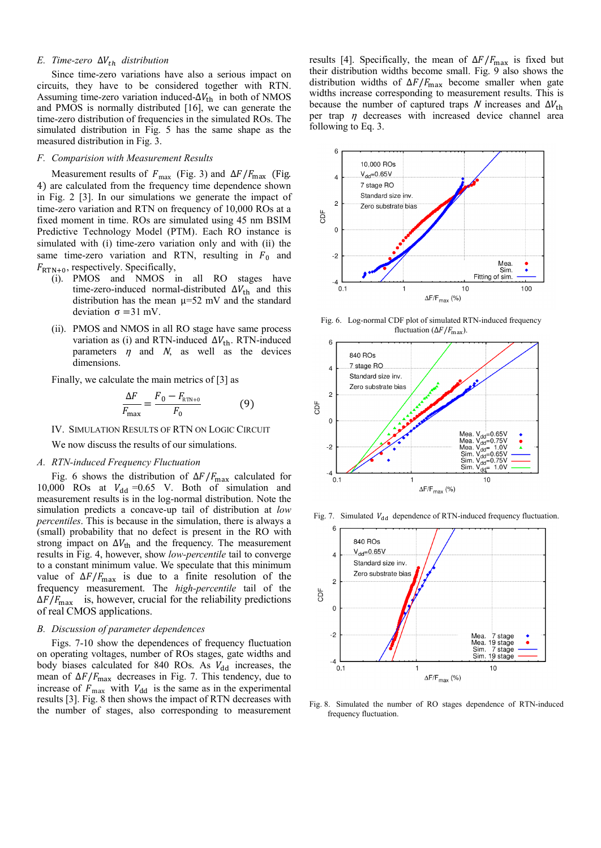## *E. Time-zero*  $\Delta V_{th}$  *distribution*

Since time-zero variations have also a serious impact on circuits, they have to be considered together with RTN. Assuming time-zero variation induced- $\Delta V_{\text{th}}$  in both of NMOS and PMOS is normally distributed [16], we can generate the time-zero distribution of frequencies in the simulated ROs. The simulated distribution in Fig. 5 has the same shape as the measured distribution in Fig. 3.

#### *F. Comparision with Measurement Results*

Measurement results of  $F_{\text{max}}$  (Fig. 3) and  $\Delta F/F_{\text{max}}$  (Fig. 4) are calculated from the frequency time dependence shown in Fig. 2 [3]. In our simulations we generate the impact of time-zero variation and RTN on frequency of 10,000 ROs at a fixed moment in time. ROs are simulated using 45 nm BSIM Predictive Technology Model (PTM). Each RO instance is simulated with (i) time-zero variation only and with (ii) the same time-zero variation and RTN, resulting in  $F_0$  and  $F_{\text{RTN}+0}$ , respectively. Specifically,

- (i). PMOS and NMOS in all RO stages have time-zero-induced normal-distributed  $\Delta V_{\text{th}}$  and this distribution has the mean  $\mu$ =52 mV and the standard deviation  $σ = 31$  mV.
- (ii). PMOS and NMOS in all RO stage have same process variation as (i) and RTN-induced  $\Delta V_{\text{th}}$ . RTN-induced parameters  $\eta$  and  $N$ , as well as the devices dimensions.

Finally, we calculate the main metrics of [3] as

$$
\frac{\Delta F}{F_{\text{max}}} = \frac{F_0 - F_{\text{RTN}+0}}{F_0}
$$
(9)

IV. SIMULATION RESULTS OF RTN ON LOGIC CIRCUIT

We now discuss the results of our simulations.

## *A. RTN-induced Frequency Fluctuation*

Fig. 6 shows the distribution of  $\Delta F/F_{\text{max}}$  calculated for 10,000 ROs at  $V_{dd}$  =0.65 V. Both of simulation and measurement results is in the log-normal distribution. Note the simulation predicts a concave-up tail of distribution at *low percentiles*. This is because in the simulation, there is always a (small) probability that no defect is present in the RO with strong impact on  $\Delta V_{\text{th}}$  and the frequency. The measurement results in Fig. 4, however, show *low-percentile* tail to converge to a constant minimum value. We speculate that this minimum value of  $\Delta F/F_{\text{max}}$  is due to a finite resolution of the frequency measurement. The *high-percentile* tail of the  $\Delta F/F_{\text{max}}$  is, however, crucial for the reliability predictions of real CMOS applications.

#### *B. Discussion of parameter dependences*

Figs. 7-10 show the dependences of frequency fluctuation on operating voltages, number of ROs stages, gate widths and body biases calculated for 840 ROs. As  $V_{dd}$  increases, the mean of  $\Delta F/F_{\text{max}}$  decreases in Fig. 7. This tendency, due to increase of  $F_{\text{max}}$  with  $V_{\text{dd}}$  is the same as in the experimental results [3]. Fig. 8 then shows the impact of RTN decreases with the number of stages, also corresponding to measurement

results [4]. Specifically, the mean of  $\Delta F/F_{\text{max}}$  is fixed but their distribution widths become small. Fig. 9 also shows the distribution widths of  $\Delta F/F_{\text{max}}$  become smaller when gate widths increase corresponding to measurement results. This is because the number of captured traps N increases and  $\Delta V_{\text{th}}$ per trap  $\eta$  decreases with increased device channel area following to Eq. 3.



Fig. 6. Log-normal CDF plot of simulated RTN-induced frequency fluctuation ( $\Delta F/F_{\text{max}}$ ).





Fig. 7. Simulated  $V_{dd}$  dependence of RTN-induced frequency fluctuation.

Fig. 8. Simulated the number of RO stages dependence of RTN-induced frequency fluctuation.